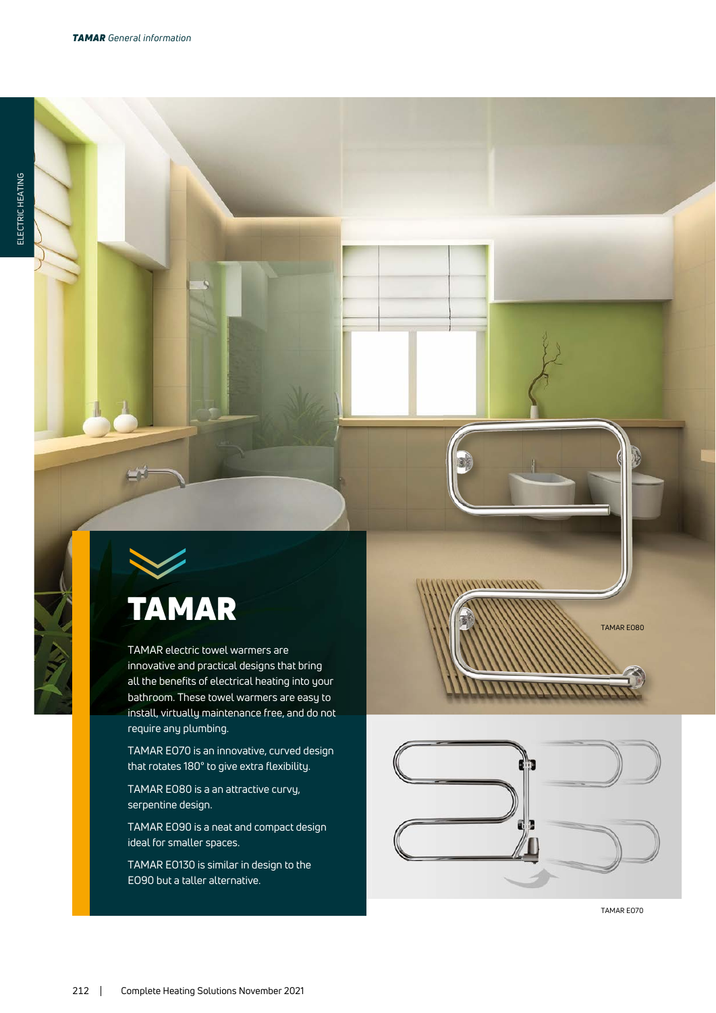

TAMAR electric towel warmers are innovative and practical designs that bring all the benefits of electrical heating into your bathroom. These towel warmers are easy to install, virtually maintenance free, and do not require any plumbing.

TAMAR EO70 is an innovative, curved design that rotates 180° to give extra flexibility.

TAMAR EO80 is a an attractive curvy, serpentine design.

TAMAR EO90 is a neat and compact design ideal for smaller spaces.

TAMAR EO130 is similar in design to the EO90 but a taller alternative.



TAMAR EO70

TAMAR EO80